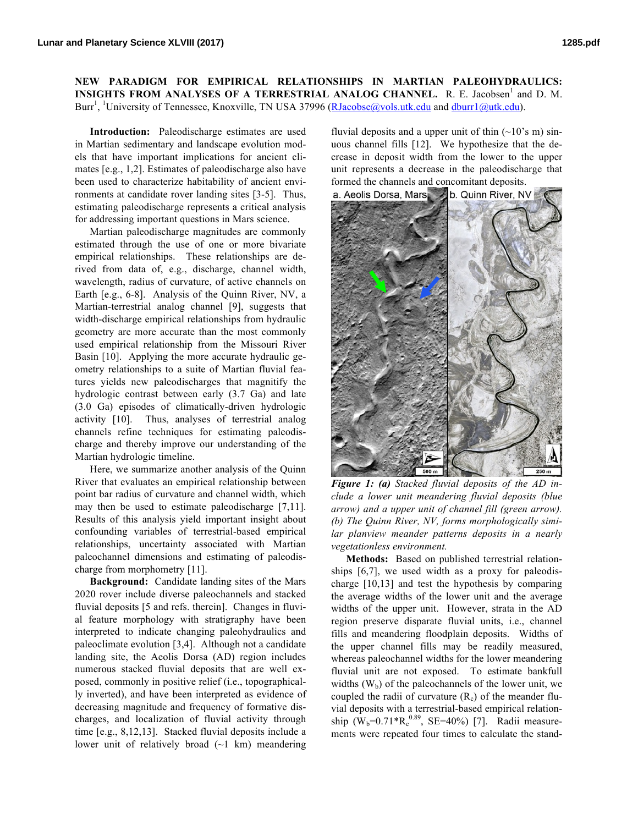**NEW PARADIGM FOR EMPIRICAL RELATIONSHIPS IN MARTIAN PALEOHYDRAULICS: INSIGHTS FROM ANALYSES OF A TERRESTRIAL ANALOG CHANNEL.** R. E. Jacobsen<sup>1</sup> and D. M. Burr<sup>1</sup>, <sup>1</sup>University of Tennessee, Knoxville, TN USA 37996 (RJacobse@vols.utk.edu and dburr1@utk.edu).

**Introduction:** Paleodischarge estimates are used in Martian sedimentary and landscape evolution models that have important implications for ancient climates [e.g., 1,2]. Estimates of paleodischarge also have been used to characterize habitability of ancient environments at candidate rover landing sites [3-5]. Thus, estimating paleodischarge represents a critical analysis for addressing important questions in Mars science.

Martian paleodischarge magnitudes are commonly estimated through the use of one or more bivariate empirical relationships. These relationships are derived from data of, e.g., discharge, channel width, wavelength, radius of curvature, of active channels on Earth [e.g., 6-8]. Analysis of the Quinn River, NV, a Martian-terrestrial analog channel [9], suggests that width-discharge empirical relationships from hydraulic geometry are more accurate than the most commonly used empirical relationship from the Missouri River Basin [10]. Applying the more accurate hydraulic geometry relationships to a suite of Martian fluvial features yields new paleodischarges that magnitify the hydrologic contrast between early (3.7 Ga) and late (3.0 Ga) episodes of climatically-driven hydrologic activity [10]. Thus, analyses of terrestrial analog channels refine techniques for estimating paleodischarge and thereby improve our understanding of the Martian hydrologic timeline.

Here, we summarize another analysis of the Quinn River that evaluates an empirical relationship between point bar radius of curvature and channel width, which may then be used to estimate paleodischarge [7,11]. Results of this analysis yield important insight about confounding variables of terrestrial-based empirical relationships, uncertainty associated with Martian paleochannel dimensions and estimating of paleodischarge from morphometry [11].

**Background:** Candidate landing sites of the Mars 2020 rover include diverse paleochannels and stacked fluvial deposits [5 and refs. therein]. Changes in fluvial feature morphology with stratigraphy have been interpreted to indicate changing paleohydraulics and paleoclimate evolution [3,4]. Although not a candidate landing site, the Aeolis Dorsa (AD) region includes numerous stacked fluvial deposits that are well exposed, commonly in positive relief (i.e., topographically inverted), and have been interpreted as evidence of decreasing magnitude and frequency of formative discharges, and localization of fluvial activity through time [e.g., 8,12,13]. Stacked fluvial deposits include a lower unit of relatively broad  $(\sim 1 \text{ km})$  meandering

fluvial deposits and a upper unit of thin  $(\sim 10^{\circ} s \text{ m}) \sin$ uous channel fills [12]. We hypothesize that the decrease in deposit width from the lower to the upper unit represents a decrease in the paleodischarge that formed the channels and concomitant deposits.



*Figure 1: (a) Stacked fluvial deposits of the AD include a lower unit meandering fluvial deposits (blue arrow) and a upper unit of channel fill (green arrow). (b) The Quinn River, NV, forms morphologically similar planview meander patterns deposits in a nearly vegetationless environment.* 

**Methods:** Based on published terrestrial relationships [6,7], we used width as a proxy for paleodischarge [10,13] and test the hypothesis by comparing the average widths of the lower unit and the average widths of the upper unit. However, strata in the AD region preserve disparate fluvial units, i.e., channel fills and meandering floodplain deposits. Widths of the upper channel fills may be readily measured, whereas paleochannel widths for the lower meandering fluvial unit are not exposed. To estimate bankfull widths  $(W_b)$  of the paleochannels of the lower unit, we coupled the radii of curvature  $(R_c)$  of the meander fluvial deposits with a terrestrial-based empirical relationship  $(W_b=0.71*R_c^{0.89}, SE=40%)$  [7]. Radii measurements were repeated four times to calculate the stand